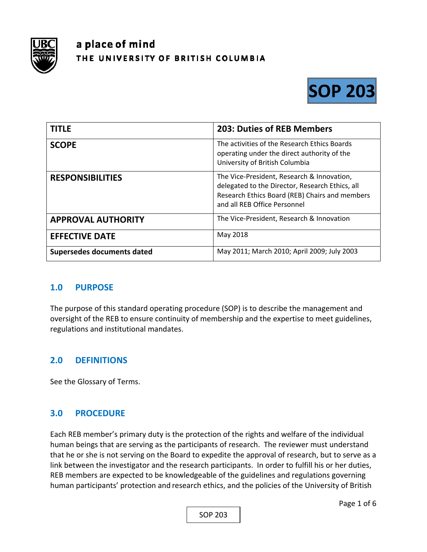

# a place of mind THE UNIVERSITY OF BRITISH COLUMBIA



| <b>TITLE</b>               | <b>203: Duties of REB Members</b>                                                                                                                                               |
|----------------------------|---------------------------------------------------------------------------------------------------------------------------------------------------------------------------------|
| <b>SCOPE</b>               | The activities of the Research Ethics Boards<br>operating under the direct authority of the<br>University of British Columbia                                                   |
| <b>RESPONSIBILITIES</b>    | The Vice-President, Research & Innovation,<br>delegated to the Director, Research Ethics, all<br>Research Ethics Board (REB) Chairs and members<br>and all REB Office Personnel |
| <b>APPROVAL AUTHORITY</b>  | The Vice-President, Research & Innovation                                                                                                                                       |
| <b>EFFECTIVE DATE</b>      | May 2018                                                                                                                                                                        |
| Supersedes documents dated | May 2011; March 2010; April 2009; July 2003                                                                                                                                     |

### **1.0 PURPOSE**

The purpose of this standard operating procedure (SOP) is to describe the management and oversight of the REB to ensure continuity of membership and the expertise to meet guidelines, regulations and institutional mandates.

### **2.0 DEFINITIONS**

See the Glossary of Terms.

### **3.0 PROCEDURE**

Each REB member's primary duty is the protection of the rights and welfare of the individual human beings that are serving as the participants of research. The reviewer must understand that he or she is not serving on the Board to expedite the approval of research, but to serve as a link between the investigator and the research participants. In order to fulfill his or her duties, REB members are expected to be knowledgeable of the guidelines and regulations governing human participants' protection and research ethics, and the policies of the University of British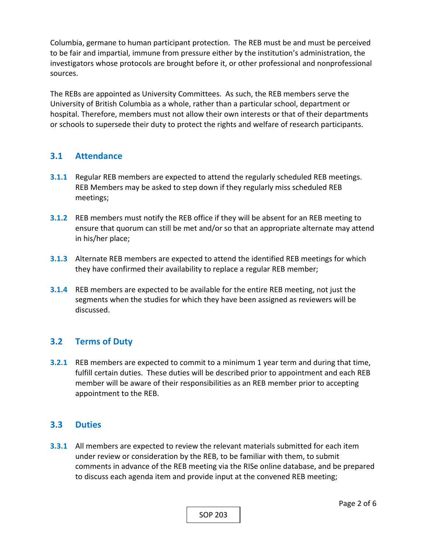Columbia, germane to human participant protection. The REB must be and must be perceived to be fair and impartial, immune from pressure either by the institution's administration, the investigators whose protocols are brought before it, or other professional and nonprofessional sources.

The REBs are appointed as University Committees. As such, the REB members serve the University of British Columbia as a whole, rather than a particular school, department or hospital. Therefore, members must not allow their own interests or that of their departments or schools to supersede their duty to protect the rights and welfare of research participants.

### **3.1 Attendance**

- **3.1.1** Regular REB members are expected to attend the regularly scheduled REB meetings. REB Members may be asked to step down if they regularly miss scheduled REB meetings;
- **3.1.2**  REB members must notify the REB office if they will be absent for an REB meeting to ensure that quorum can still be met and/or so that an appropriate alternate may attend in his/her place;
- **3.1.3**  Alternate REB members are expected to attend the identified REB meetings for which they have confirmed their availability to replace a regular REB member;
- **3.1.4**  REB members are expected to be available for the entire REB meeting, not just the segments when the studies for which they have been assigned as reviewers will be discussed.

## **3.2 Terms of Duty**

**3.2.1**  REB members are expected to commit to a minimum 1 year term and during that time, fulfill certain duties. These duties will be described prior to appointment and each REB member will be aware of their responsibilities as an REB member prior to accepting appointment to the REB.

### **3.3 Duties**

**3.3.1**  All members are expected to review the relevant materials submitted for each item under review or consideration by the REB, to be familiar with them, to submit comments in advance of the REB meeting via the RISe online database, and be prepared to discuss each agenda item and provide input at the convened REB meeting;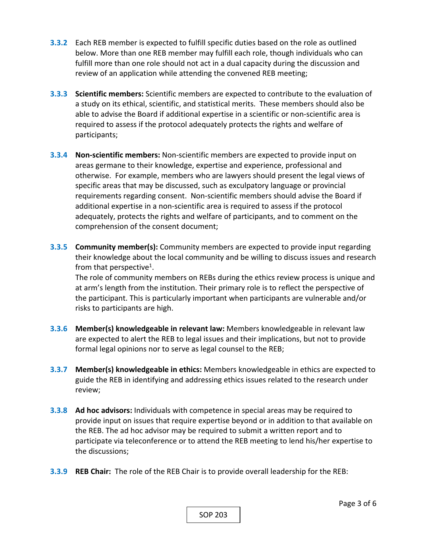- **3.3.2**  Each REB member is expected to fulfill specific duties based on the role as outlined below. More than one REB member may fulfill each role, though individuals who can fulfill more than one role should not act in a dual capacity during the discussion and review of an application while attending the convened REB meeting;
- **3.3.3 Scientific members:** Scientific members are expected to contribute to the evaluation of a study on its ethical, scientific, and statistical merits. These members should also be able to advise the Board if additional expertise in a scientific or non‐scientific area is required to assess if the protocol adequately protects the rights and welfare of participants;
- **3.3.4 Non‐scientific members:** Non‐scientific members are expected to provide input on areas germane to their knowledge, expertise and experience, professional and otherwise. For example, members who are lawyers should present the legal views of specific areas that may be discussed, such as exculpatory language or provincial requirements regarding consent. Non‐scientific members should advise the Board if additional expertise in a non‐scientific area is required to assess if the protocol adequately, protects the rights and welfare of participants, and to comment on the comprehension of the consent document;
- **3.3.5 Community member(s):** Community members are expected to provide input regarding their knowledge about the local community and be willing to discuss issues and research from that perspective<sup>1</sup>.

The role of community members on REBs during the ethics review process is unique and at arm's length from the institution. Their primary role is to reflect the perspective of the participant. This is particularly important when participants are vulnerable and/or risks to participants are high.

- **3.3.6 Member(s) knowledgeable in relevant law:** Members knowledgeable in relevant law are expected to alert the REB to legal issues and their implications, but not to provide formal legal opinions nor to serve as legal counsel to the REB;
- **3.3.7 Member(s) knowledgeable in ethics:** Members knowledgeable in ethics are expected to guide the REB in identifying and addressing ethics issues related to the research under review;
- **3.3.8 Ad hoc advisors:** Individuals with competence in special areas may be required to provide input on issues that require expertise beyond or in addition to that available on the REB. The ad hoc advisor may be required to submit a written report and to participate via teleconference or to attend the REB meeting to lend his/her expertise to the discussions;
- **3.3.9 REB Chair:** The role of the REB Chair is to provide overall leadership for the REB: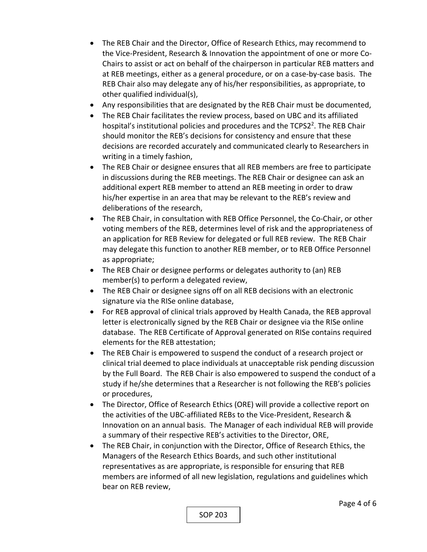- The REB Chair and the Director, Office of Research Ethics, may recommend to the Vice‐President, Research & Innovation the appointment of one or more Co‐ Chairs to assist or act on behalf of the chairperson in particular REB matters and at REB meetings, either as a general procedure, or on a case‐by‐case basis. The REB Chair also may delegate any of his/her responsibilities, as appropriate, to other qualified individual(s),
- Any responsibilities that are designated by the REB Chair must be documented,
- The REB Chair facilitates the review process, based on UBC and its affiliated hospital's institutional policies and procedures and the TCPS2<sup>2</sup>. The REB Chair should monitor the REB's decisions for consistency and ensure that these decisions are recorded accurately and communicated clearly to Researchers in writing in a timely fashion,
- The REB Chair or designee ensures that all REB members are free to participate in discussions during the REB meetings. The REB Chair or designee can ask an additional expert REB member to attend an REB meeting in order to draw his/her expertise in an area that may be relevant to the REB's review and deliberations of the research,
- The REB Chair, in consultation with REB Office Personnel, the Co‐Chair, or other voting members of the REB, determines level of risk and the appropriateness of an application for REB Review for delegated or full REB review. The REB Chair may delegate this function to another REB member, or to REB Office Personnel as appropriate;
- The REB Chair or designee performs or delegates authority to (an) REB member(s) to perform a delegated review,
- The REB Chair or designee signs off on all REB decisions with an electronic signature via the RISe online database,
- For REB approval of clinical trials approved by Health Canada, the REB approval letter is electronically signed by the REB Chair or designee via the RISe online database. The REB Certificate of Approval generated on RISe contains required elements for the REB attestation;
- The REB Chair is empowered to suspend the conduct of a research project or clinical trial deemed to place individuals at unacceptable risk pending discussion by the Full Board. The REB Chair is also empowered to suspend the conduct of a study if he/she determines that a Researcher is not following the REB's policies or procedures,
- The Director, Office of Research Ethics (ORE) will provide a collective report on the activities of the UBC‐affiliated REBs to the Vice‐President, Research & Innovation on an annual basis. The Manager of each individual REB will provide a summary of their respective REB's activities to the Director, ORE,
- The REB Chair, in conjunction with the Director, Office of Research Ethics, the Managers of the Research Ethics Boards, and such other institutional representatives as are appropriate, is responsible for ensuring that REB members are informed of all new legislation, regulations and guidelines which bear on REB review,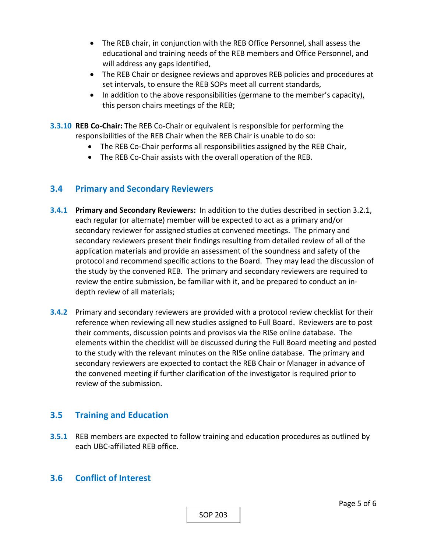- The REB chair, in conjunction with the REB Office Personnel, shall assess the educational and training needs of the REB members and Office Personnel, and will address any gaps identified,
- The REB Chair or designee reviews and approves REB policies and procedures at set intervals, to ensure the REB SOPs meet all current standards,
- $\bullet$  In addition to the above responsibilities (germane to the member's capacity), this person chairs meetings of the REB;
- **3.3.10 REB Co‐Chair:** The REB Co‐Chair or equivalent is responsible for performing the responsibilities of the REB Chair when the REB Chair is unable to do so:
	- The REB Co-Chair performs all responsibilities assigned by the REB Chair,
	- The REB Co-Chair assists with the overall operation of the REB.

### **3.4 Primary and Secondary Reviewers**

- **3.4.1 Primary and Secondary Reviewers:** In addition to the duties described in section 3.2.1, each regular (or alternate) member will be expected to act as a primary and/or secondary reviewer for assigned studies at convened meetings. The primary and secondary reviewers present their findings resulting from detailed review of all of the application materials and provide an assessment of the soundness and safety of the protocol and recommend specific actions to the Board. They may lead the discussion of the study by the convened REB. The primary and secondary reviewers are required to review the entire submission, be familiar with it, and be prepared to conduct an in‐ depth review of all materials;
- **3.4.2**  Primary and secondary reviewers are provided with a protocol review checklist for their reference when reviewing all new studies assigned to Full Board. Reviewers are to post their comments, discussion points and provisos via the RISe online database. The elements within the checklist will be discussed during the Full Board meeting and posted to the study with the relevant minutes on the RISe online database. The primary and secondary reviewers are expected to contact the REB Chair or Manager in advance of the convened meeting if further clarification of the investigator is required prior to review of the submission.

## **3.5 Training and Education**

**3.5.1**  REB members are expected to follow training and education procedures as outlined by each UBC‐affiliated REB office.

### **3.6 Conflict of Interest**